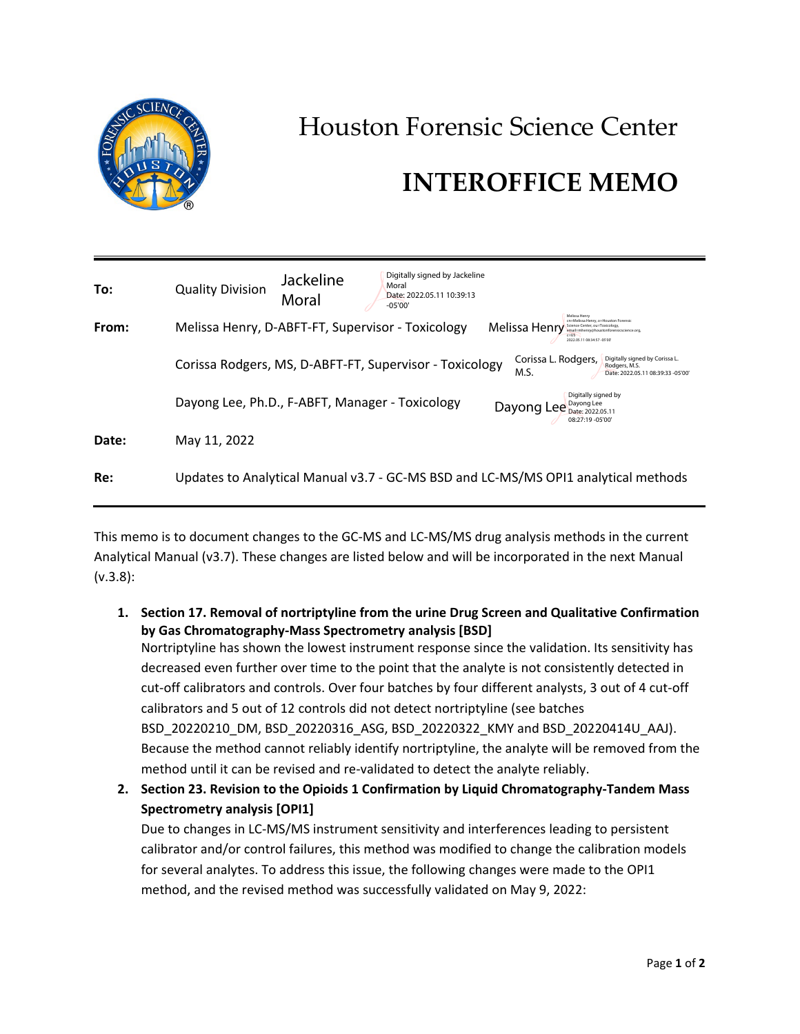

## Houston Forensic Science Center

## **INTEROFFICE MEMO**

| To:   | <b>Quality Division</b>                                                            | <b>Jackeline</b><br>Moral | Digitally signed by Jackeline<br>Moral<br>Date: 2022.05.11 10:39:13<br>$-05'00'$ |                                                                                                                                                                |
|-------|------------------------------------------------------------------------------------|---------------------------|----------------------------------------------------------------------------------|----------------------------------------------------------------------------------------------------------------------------------------------------------------|
| From: | Melissa Henry, D-ABFT-FT, Supervisor - Toxicology                                  |                           |                                                                                  | cn=Melissa Henry, o=Houston Forensic<br>Melissa Henr<br>Science Center, ou=Toxicology<br>email=mhenry@houstonforensicscience.org<br>2022.05.11 08:34:57 -05'00 |
|       |                                                                                    |                           | Corissa Rodgers, MS, D-ABFT-FT, Supervisor - Toxicology                          | Corissa L. Rodgers,<br>Digitally signed by Corissa L.<br>Rodaers, M.S.<br>M.S.<br>Date: 2022.05.11 08:39:33 -05'00'                                            |
|       | Dayong Lee, Ph.D., F-ABFT, Manager - Toxicology                                    |                           |                                                                                  | Digitally signed by<br>Dayong Lee<br>Dayong Lee<br>Date: 2022.05.11<br>08:27:19 - 05'00'                                                                       |
| Date: | May 11, 2022                                                                       |                           |                                                                                  |                                                                                                                                                                |
| Re:   | Updates to Analytical Manual v3.7 - GC-MS BSD and LC-MS/MS OPI1 analytical methods |                           |                                                                                  |                                                                                                                                                                |

This memo is to document changes to the GC-MS and LC-MS/MS drug analysis methods in the current Analytical Manual (v3.7). These changes are listed below and will be incorporated in the next Manual (v.3.8):

**1. Section 17. Removal of nortriptyline from the urine Drug Screen and Qualitative Confirmation by Gas Chromatography-Mass Spectrometry analysis [BSD]**

Nortriptyline has shown the lowest instrument response since the validation. Its sensitivity has decreased even further over time to the point that the analyte is not consistently detected in cut-off calibrators and controls. Over four batches by four different analysts, 3 out of 4 cut-off calibrators and 5 out of 12 controls did not detect nortriptyline (see batches BSD\_20220210\_DM, BSD\_20220316\_ASG, BSD\_20220322\_KMY and BSD\_20220414U\_AAJ). Because the method cannot reliably identify nortriptyline, the analyte will be removed from the method until it can be revised and re-validated to detect the analyte reliably.

**2. Section 23. Revision to the Opioids 1 Confirmation by Liquid Chromatography-Tandem Mass Spectrometry analysis [OPI1]**

Due to changes in LC-MS/MS instrument sensitivity and interferences leading to persistent calibrator and/or control failures, this method was modified to change the calibration models for several analytes. To address this issue, the following changes were made to the OPI1 method, and the revised method was successfully validated on May 9, 2022: